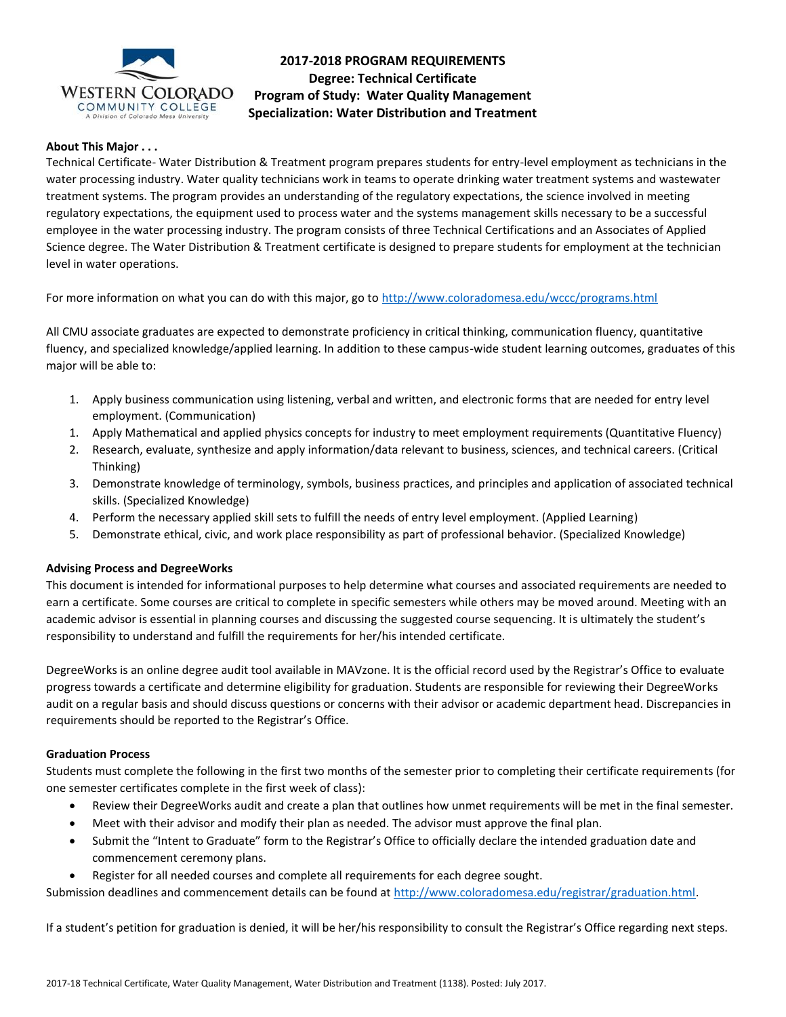

# **2017-2018 PROGRAM REQUIREMENTS Degree: Technical Certificate Program of Study: Water Quality Management Specialization: Water Distribution and Treatment**

## **About This Major . . .**

Technical Certificate- Water Distribution & Treatment program prepares students for entry-level employment as technicians in the water processing industry. Water quality technicians work in teams to operate drinking water treatment systems and wastewater treatment systems. The program provides an understanding of the regulatory expectations, the science involved in meeting regulatory expectations, the equipment used to process water and the systems management skills necessary to be a successful employee in the water processing industry. The program consists of three Technical Certifications and an Associates of Applied Science degree. The Water Distribution & Treatment certificate is designed to prepare students for employment at the technician level in water operations.

For more information on what you can do with this major, go to<http://www.coloradomesa.edu/wccc/programs.html>

All CMU associate graduates are expected to demonstrate proficiency in critical thinking, communication fluency, quantitative fluency, and specialized knowledge/applied learning. In addition to these campus-wide student learning outcomes, graduates of this major will be able to:

- 1. Apply business communication using listening, verbal and written, and electronic forms that are needed for entry level employment. (Communication)
- 1. Apply Mathematical and applied physics concepts for industry to meet employment requirements (Quantitative Fluency)
- 2. Research, evaluate, synthesize and apply information/data relevant to business, sciences, and technical careers. (Critical Thinking)
- 3. Demonstrate knowledge of terminology, symbols, business practices, and principles and application of associated technical skills. (Specialized Knowledge)
- 4. Perform the necessary applied skill sets to fulfill the needs of entry level employment. (Applied Learning)
- 5. Demonstrate ethical, civic, and work place responsibility as part of professional behavior. (Specialized Knowledge)

## **Advising Process and DegreeWorks**

This document is intended for informational purposes to help determine what courses and associated requirements are needed to earn a certificate. Some courses are critical to complete in specific semesters while others may be moved around. Meeting with an academic advisor is essential in planning courses and discussing the suggested course sequencing. It is ultimately the student's responsibility to understand and fulfill the requirements for her/his intended certificate.

DegreeWorks is an online degree audit tool available in MAVzone. It is the official record used by the Registrar's Office to evaluate progress towards a certificate and determine eligibility for graduation. Students are responsible for reviewing their DegreeWorks audit on a regular basis and should discuss questions or concerns with their advisor or academic department head. Discrepancies in requirements should be reported to the Registrar's Office.

#### **Graduation Process**

Students must complete the following in the first two months of the semester prior to completing their certificate requirements (for one semester certificates complete in the first week of class):

- Review their DegreeWorks audit and create a plan that outlines how unmet requirements will be met in the final semester.
- Meet with their advisor and modify their plan as needed. The advisor must approve the final plan.
- Submit the "Intent to Graduate" form to the Registrar's Office to officially declare the intended graduation date and commencement ceremony plans.
- Register for all needed courses and complete all requirements for each degree sought.

Submission deadlines and commencement details can be found at [http://www.coloradomesa.edu/registrar/graduation.html.](http://www.coloradomesa.edu/registrar/graduation.html)

If a student's petition for graduation is denied, it will be her/his responsibility to consult the Registrar's Office regarding next steps.